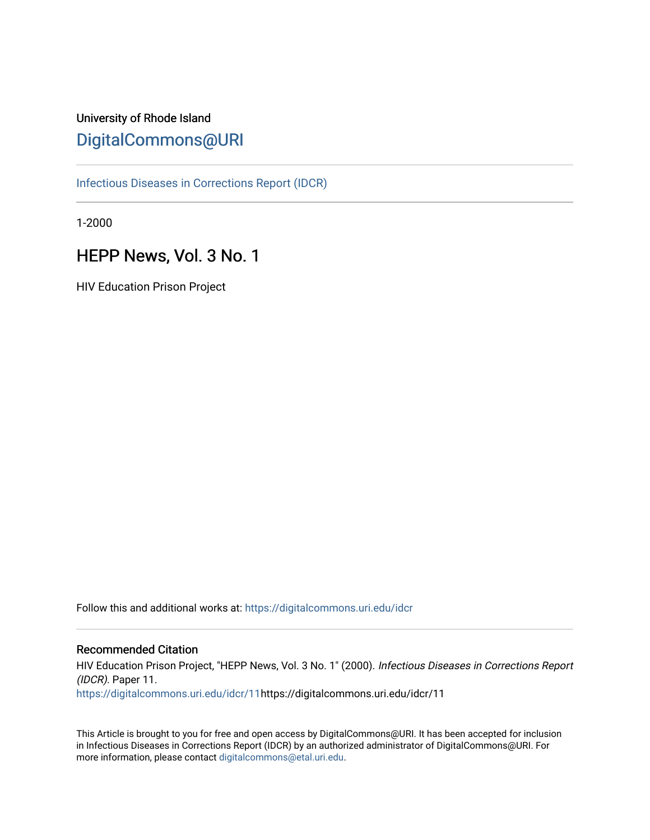## University of Rhode Island [DigitalCommons@URI](https://digitalcommons.uri.edu/)

[Infectious Diseases in Corrections Report \(IDCR\)](https://digitalcommons.uri.edu/idcr)

1-2000

# HEPP News, Vol. 3 No. 1

HIV Education Prison Project

Follow this and additional works at: [https://digitalcommons.uri.edu/idcr](https://digitalcommons.uri.edu/idcr?utm_source=digitalcommons.uri.edu%2Fidcr%2F11&utm_medium=PDF&utm_campaign=PDFCoverPages)

## Recommended Citation

HIV Education Prison Project, "HEPP News, Vol. 3 No. 1" (2000). Infectious Diseases in Corrections Report (IDCR). Paper 11. [https://digitalcommons.uri.edu/idcr/11h](https://digitalcommons.uri.edu/idcr/11?utm_source=digitalcommons.uri.edu%2Fidcr%2F11&utm_medium=PDF&utm_campaign=PDFCoverPages)ttps://digitalcommons.uri.edu/idcr/11

This Article is brought to you for free and open access by DigitalCommons@URI. It has been accepted for inclusion in Infectious Diseases in Corrections Report (IDCR) by an authorized administrator of DigitalCommons@URI. For more information, please contact [digitalcommons@etal.uri.edu.](mailto:digitalcommons@etal.uri.edu)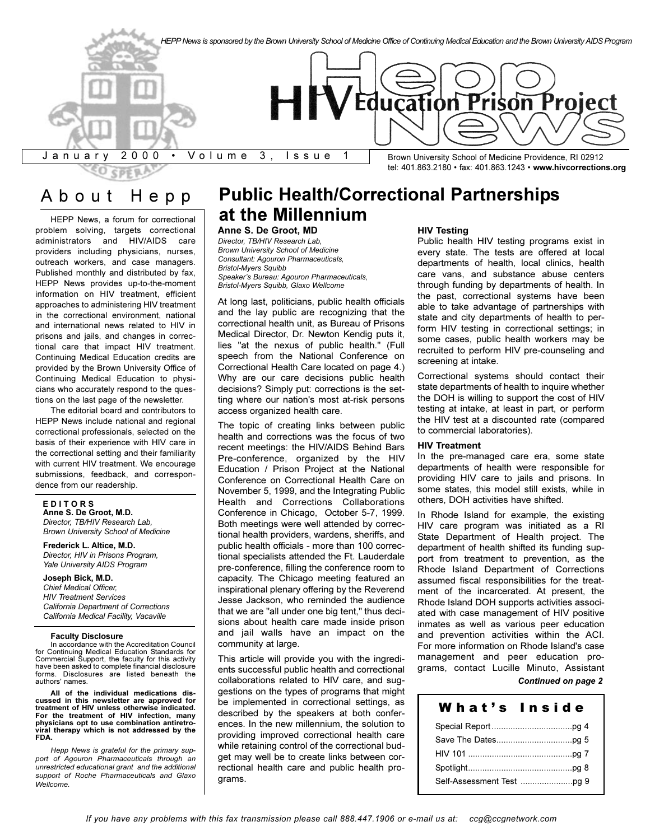

# About Hepp

HEPP News, a forum for correctional problem solving, targets correctional administrators and HIV/AIDS care providers including physicians, nurses, outreach workers, and case managers. Published monthly and distributed by fax, HEPP News provides up-to-the-moment information on HIV treatment, efficient approaches to administering HIV treatment in the correctional environment, national and international news related to HIV in prisons and jails, and changes in correctional care that impact HIV treatment. Continuing Medical Education credits are provided by the Brown University Office of Continuing Medical Education to physicians who accurately respond to the questions on the last page of the newsletter.

The editorial board and contributors to HEPP News include national and regional correctional professionals, selected on the basis of their experience with HIV care in the correctional setting and their familiarity with current HIV treatment. We encourage submissions, feedback, and correspondence from our readership.

## **E D I T O R S**

**Anne S. De Groot, M.D.** *Director, TB/HIV Research Lab, Brown University School of Medicine*

**Frederick L. Altice, M.D.** *Director, HIV in Prisons Program, Yale University AIDS Program*

**Joseph Bick, M.D.** *Chief Medical Officer, HIV Treatment Services California Department of Corrections California Medical Facility, Vacaville*

#### **Faculty Disclosure**

In accordance with the Accreditation Council for Continuing Medical Education Standards for Commercial Support, the faculty for this activity have been asked to complete financial disclosure forms. Disclosures are listed beneath the authors' names.

**All of the individual medications discussed in this newsletter are approved for treatment of HIV unless otherwise indicated. For the treatment of HIV infection, many physicians opt to use combination antiretroviral therapy which is not addressed by the FDA.**

*Hepp News is grateful for the primary support of Agouron Pharmaceuticals through an unrestricted educational grant and the additional support of Roche Pharmaceuticals and Glaxo Wellcome.*

# **Public Health/Correctional Partnerships at the Millennium**

## **Anne S. De Groot, MD**

*Director, TB/HIV Research Lab, Brown University School of Medicine Consultant: Agouron Pharmaceuticals, Bristol-Myers Squibb* Speaker's Bureau: Agouron Pharmaceuticals, *Bristol-Myers Squibb, Glaxo Wellcome*

At long last, politicians, public health officials and the lay public are recognizing that the correctional health unit, as Bureau of Prisons Medical Director, Dr. Newton Kendig puts it, lies "at the nexus of public health." (Full speech from the National Conference on Correctional Health Care located on page 4.) Why are our care decisions public health decisions? Simply put: corrections is the setting where our nation's most at-risk persons access organized health care.

The topic of creating links between public health and corrections was the focus of two recent meetings: the HIV/AIDS Behind Bars Pre-conference, organized by the HIV Education / Prison Project at the National Conference on Correctional Health Care on November 5, 1999, and the Integrating Public Health and Corrections Collaborations Conference in Chicago, October 5-7, 1999. Both meetings were well attended by correctional health providers, wardens, sheriffs, and public health officials - more than 100 correctional specialists attended the Ft. Lauderdale pre-conference, filling the conference room to capacity. The Chicago meeting featured an inspirational plenary offering by the Reverend Jesse Jackson, who reminded the audience that we are "all under one big tent," thus decisions about health care made inside prison and jail walls have an impact on the community at large.

This article will provide you with the ingredients successful public health and correctional collaborations related to HIV care, and suggestions on the types of programs that might be implemented in correctional settings, as described by the speakers at both conferences. In the new millennium, the solution to providing improved correctional health care while retaining control of the correctional budget may well be to create links between correctional health care and public health programs.

#### **HIV Testing**

Public health HIV testing programs exist in every state. The tests are offered at local departments of health, local clinics, health care vans, and substance abuse centers through funding by departments of health. In the past, correctional systems have been able to take advantage of partnerships with state and city departments of health to perform HIV testing in correctional settings; in some cases, public health workers may be recruited to perform HIV pre-counseling and screening at intake.

Correctional systems should contact their state departments of health to inquire whether the DOH is willing to support the cost of HIV testing at intake, at least in part, or perform the HIV test at a discounted rate (compared to commercial laboratories).

#### **HIV Treatment**

In the pre-managed care era, some state departments of health were responsible for providing HIV care to jails and prisons. In some states, this model still exists, while in others, DOH activities have shifted.

In Rhode Island for example, the existing HIV care program was initiated as a RI State Department of Health project. The department of health shifted its funding support from treatment to prevention, as the Rhode Island Department of Corrections assumed fiscal responsibilities for the treatment of the incarcerated. At present, the Rhode Island DOH supports activities associated with case management of HIV positive inmates as well as various peer education and prevention activities within the ACI. For more information on Rhode Island's case management and peer education programs, contact Lucille Minuto, Assistant

## *Continued on page 2*

| wnat s inside |  |
|---------------|--|
|               |  |
|               |  |
|               |  |
|               |  |
|               |  |

Whats Inside the United States of the United States and Institute of the United States and Institute of the United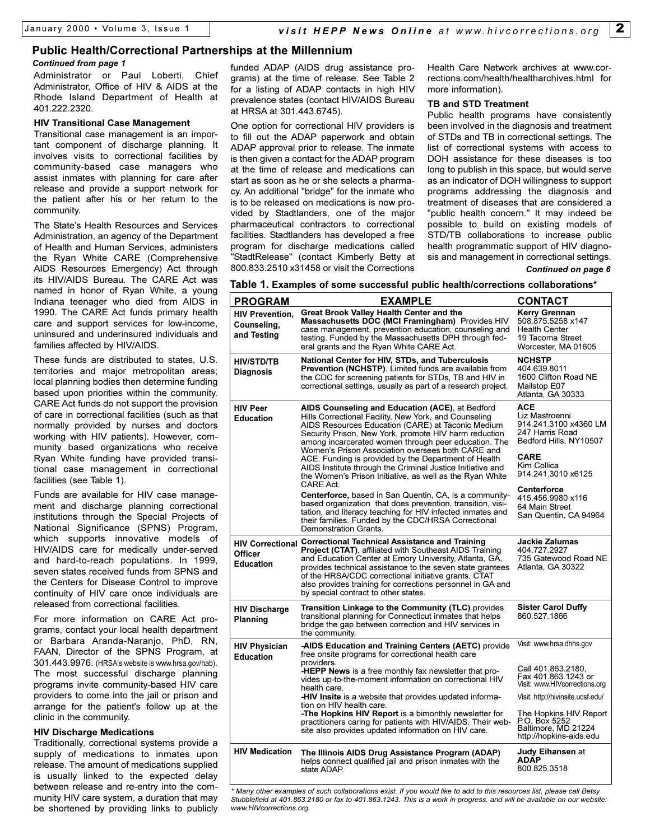## **Public Health/Correctional Partnerships at the Millennium**

#### *Continued from page 1*

Administrator or Paul Loberti, Chief Administrator, Office of HIV & AIDS at the Rhode Island Department of Health at 401.222.2320.

#### **HIV Transitional Case Management**

Transitional case management is an important component of discharge planning. It involves visits to correctional facilities by community-based case managers who assist inmates with planning for care after release and provide a support network for the patient after his or her return to the community.

The State's Health Resources and Services Administration, an agency of the Department of Health and Human Services, administers the Ryan White CARE (Comprehensive AIDS Resources Emergency) Act through its HIV/AIDS Bureau. The CARE Act was named in honor of Ryan White, a young Indiana teenager who died from AIDS in 1990. The CARE Act funds primary health care and support services for low-income, uninsured and underinsured individuals and families affected by HIV/AIDS.

These funds are distributed to states, U.S. territories and major metropolitan areas; local planning bodies then determine funding based upon priorities within the community. CARE Act funds do not support the provision of care in correctional facilities (such as that normally provided by nurses and doctors working with HIV patients). However, community based organizations who receive Ryan White funding have provided transitional case management in correctional facilities (see Table 1).

Funds are available for HIV case management and discharge planning correctional institutions through the Special Projects of National Significance (SPNS) Program, which supports innovative models of HIV/AIDS care for medically under-served and hard-to-reach populations. In 1999, seven states received funds from SPNS and the Centers for Disease Control to improve continuity of HIV care once individuals are released from correctional facilities.

For more information on CARE Act programs, contact your local health department or Barbara Aranda-Naranjo, PhD, RN, FAAN, Director of the SPNS Program, at 301.443.9976. (HRSA's website is www.hrsa.gov/hab). The most successful discharge planning programs invite community-based HIV care providers to come into the jail or prison and arrange for the patient's follow up at the clinic in the community.

## **HIV Discharge Medications**

Traditionally, correctional systems provide a supply of medications to inmates upon release. The amount of medications supplied is usually linked to the expected delay between release and re-entry into the community HIV care system, a duration that may be shortened by providing links to publicly funded ADAP (AIDS drug assistance programs) at the time of release. See Table 2 for a listing of ADAP contacts in high HIV prevalence states (contact HIV/AIDS Bureau at HRSA at 301.443.6745).

One option for correctional HIV providers is to fill out the ADAP paperwork and obtain ADAP approval prior to release. The inmate is then given a contact for the ADAP program at the time of release and medications can start as soon as he or she selects a pharmacy. An additional "bridge" for the inmate who is to be released on medications is now provided by Stadtlanders, one of the major pharmaceutical contractors to correctional facilities. Stadtlanders has developed a free program for discharge medications called "StadtRelease" (contact Kimberly Betty at 800.833.2510 x31458 or visit the Corrections

Health Care Network archives at www.corrections.com/health/healtharchives.html for more information).

#### **TB and STD Treatment**

Public health programs have consistently been involved in the diagnosis and treatment of STDs and TB in correctional settings. The list of correctional systems with access to DOH assistance for these diseases is too long to publish in this space, but would serve as an indicator of DOH willingness to support programs addressing the diagnosis and treatment of diseases that are considered a "public health concern." It may indeed be possible to build on existing models of STD/TB collaborations to increase public health programmatic support of HIV diagnosis and management in correctional settings.

#### *Continued on page 6*

| <b>PROGRAM</b>                                       | <b>EXAMPLE</b>                                                                                                                                                                                                                                                                                                                                                                                                                                                                                                                                                                                                                                                                                                                  | <b>CONTACT</b>                                                                                                                                                                                                                               |
|------------------------------------------------------|---------------------------------------------------------------------------------------------------------------------------------------------------------------------------------------------------------------------------------------------------------------------------------------------------------------------------------------------------------------------------------------------------------------------------------------------------------------------------------------------------------------------------------------------------------------------------------------------------------------------------------------------------------------------------------------------------------------------------------|----------------------------------------------------------------------------------------------------------------------------------------------------------------------------------------------------------------------------------------------|
| <b>HIV Prevention.</b><br>Counseling,<br>and Testing | <b>Great Brook Valley Health Center and the</b><br>Massachusetts DOC (MCI Framingham) Provides HIV<br>case management, prevention education, counseling and<br>testing. Funded by the Massachusetts DPH through fed-<br>eral grants and the Ryan White CARE Act.                                                                                                                                                                                                                                                                                                                                                                                                                                                                | Kerry Grennan<br>508.875.5258 x147<br><b>Health Center</b><br>19 Tacoma Street<br>Worcester, MA 01605                                                                                                                                        |
| <b>HIV/STD/TB</b><br>Diagnosis                       | <b>National Center for HIV, STDs, and Tuberculosis</b><br><b>Prevention (NCHSTP).</b> Limited funds are available from<br>the CDC for screening patients for STDs, TB and HIV in<br>correctional settings, usually as part of a research project.                                                                                                                                                                                                                                                                                                                                                                                                                                                                               | <b>NCHSTP</b><br>404.639.8011<br>1600 Clifton Road NE<br>Mailstop E07<br>Atlanta, GA 30333                                                                                                                                                   |
| <b>HIV Peer</b><br><b>Education</b>                  | AIDS Counseling and Education (ACE), at Bedford<br>Hills Correctional Facility, New York, and Counseling<br>AIDS Resources Education (CARE) at Taconic Medium<br>Security Prison, New York, promote HIV harm reduction<br>among incarcerated women through peer education. The<br>Women's Prison Association oversees both CARE and<br>ACE. Funding is provided by the Department of Health<br>AIDS Institute through the Criminal Justice Initiative and<br>the Women's Prison Initiative, as well as the Ryan White<br>CARE Act.<br><b>Centerforce, based in San Quentin, CA, is a community-</b><br>based organization that does prevention, transition, visi-<br>tation, and literacy teaching for HIV infected inmates and | <b>ACE</b><br>Liz Mastroenni<br>914.241.3100 x4360 LM<br>247 Harris Road<br>Bedford Hills, NY10507<br><b>CARE</b><br>Kim Collica<br>914.241.3010 x6125<br><b>Centerforce</b><br>415.456.9980 x116<br>64 Main Street<br>San Quentin, CA 94964 |
|                                                      | their families. Funded by the CDC/HRSA Correctional<br>Demonstration Grants.                                                                                                                                                                                                                                                                                                                                                                                                                                                                                                                                                                                                                                                    |                                                                                                                                                                                                                                              |
| Officer<br><b>Education</b>                          | HIV Correctional Correctional Technical Assistance and Training<br><b>Project (CTAT), affiliated with Southeast AIDS Training</b><br>and Education Center at Emory University, Atlanta, GA,<br>provides technical assistance to the seven state grantees<br>of the HRSA/CDC correctional initiative grants. CTAT<br>also provides training for corrections personnel in GA and<br>by special contract to other states.                                                                                                                                                                                                                                                                                                          | <b>Jackie Zalumas</b><br>404.727.2927<br>735 Gatewood Road NE<br>Atlanta, GA 30322                                                                                                                                                           |
| <b>HIV Discharge</b><br><b>Planning</b>              | <b>Transition Linkage to the Community (TLC)</b> provides<br>transitional planning for Connecticut inmates that helps<br>bridge the gap between correction and HIV services in<br>the community.                                                                                                                                                                                                                                                                                                                                                                                                                                                                                                                                | <b>Sister Carol Duffy</b><br>860.527.1866                                                                                                                                                                                                    |
| <b>HIV Physician</b><br><b>Education</b>             | -AIDS Education and Training Centers (AETC) provide<br>free onsite programs for correctional health care<br>providers.<br><b>-HEPP News</b> is a free monthly fax newsletter that pro-                                                                                                                                                                                                                                                                                                                                                                                                                                                                                                                                          | Visit: www.hrsa.dhhs.gov<br>Call 401.863.2180,                                                                                                                                                                                               |
|                                                      | vides up-to-the-moment information on correctional HIV<br>health care.                                                                                                                                                                                                                                                                                                                                                                                                                                                                                                                                                                                                                                                          | Fax 401.863.1243 or<br>Visit: www.HIVcorrections.org                                                                                                                                                                                         |
|                                                      | <b>-HIV Insite</b> is a website that provides updated informa-<br>tion on HIV health care.                                                                                                                                                                                                                                                                                                                                                                                                                                                                                                                                                                                                                                      | Visit: http://hivinsite.ucsf.edu/                                                                                                                                                                                                            |
|                                                      | -The Hopkins HIV Report is a bimonthly newsletter for<br>practitioners caring for patients with HIV/AIDS. Their web-<br>site also provides updated information on HIV care.                                                                                                                                                                                                                                                                                                                                                                                                                                                                                                                                                     | The Hopkins HIV Report<br>P.O. Box 5252<br>Baltimore, MD 21224<br>http://hopkins-aids.edu                                                                                                                                                    |
| <b>HIV Medication</b>                                | The Illinois AIDS Drug Assistance Program (ADAP)<br>helps connect qualified jail and prison inmates with the<br>state ADAP.                                                                                                                                                                                                                                                                                                                                                                                                                                                                                                                                                                                                     | <b>Judy Eihansen</b> at<br><b>ADAP</b><br>800.825.3518                                                                                                                                                                                       |

*<sup>\*</sup> Many other examples of such collaborations exist. If you would like to add to this resources list, please call Betsy Stubblefield at 401.863.2180 or fax to 401.863.1243. This is a work in progress, and will be available on our website: www.HIVcorrections.org.*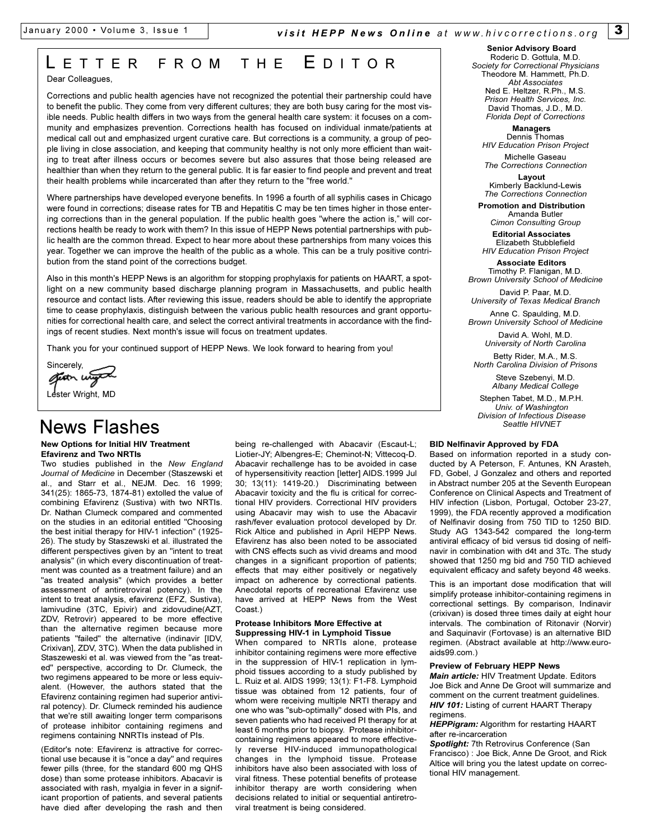# L ETTER FROM THE E DITOR

Dear Colleagues,

Corrections and public health agencies have not recognized the potential their partnership could have to benefit the public. They come from very different cultures; they are both busy caring for the most visible needs. Public health differs in two ways from the general health care system: it focuses on a community and emphasizes prevention. Corrections health has focused on individual inmate/patients at medical call out and emphasized urgent curative care. But corrections is a community, a group of people living in close association, and keeping that community healthy is not only more efficient than waiting to treat after illness occurs or becomes severe but also assures that those being released are healthier than when they return to the general public. It is far easier to find people and prevent and treat their health problems while incarcerated than after they return to the "free world."

Where partnerships have developed everyone benefits. In 1996 a fourth of all syphilis cases in Chicago were found in corrections; disease rates for TB and Hepatitis C may be ten times higher in those entering corrections than in the general population. If the public health goes "where the action is," will corrections health be ready to work with them? In this issue of HEPP News potential partnerships with public health are the common thread. Expect to hear more about these partnerships from many voices this year. Together we can improve the health of the public as a whole. This can be a truly positive contribution from the stand point of the corrections budget.

Also in this month's HEPP News is an algorithm for stopping prophylaxis for patients on HAART, a spotlight on a new community based discharge planning program in Massachusetts, and public health resource and contact lists. After reviewing this issue, readers should be able to identify the appropriate time to cease prophylaxis, distinguish between the various public health resources and grant opportunities for correctional health care, and select the correct antiviral treatments in accordance with the findings of recent studies. Next month's issue will focus on treatment updates.

Thank you for your continued support of HEPP News. We look forward to hearing from you!

Sincerely, and Lester Wright, MD

# News Flashes

#### **New Options for Initial HIV Treatment Efavirenz and Two NRTIs**

Two studies published in the *New England Journal of Medicine* in December (Staszewski et al., and Starr et al., NEJM. Dec. 16 1999; 341(25): 1865-73, 1874-81) extolled the value of combining Efavirenz (Sustiva) with two NRTIs. Dr. Nathan Clumeck compared and commented on the studies in an editorial entitled "Choosing the best initial therapy for HIV-1 infection" (1925- 26). The study by Staszewski et al. illustrated the different perspectives given by an "intent to treat analysis" (in which every discontinuation of treatment was counted as a treatment failure) and an "as treated analysis" (which provides a better assessment of antiretroviral potency). In the intent to treat analysis, efavirenz (EFZ, Sustiva), lamivudine (3TC, Epivir) and zidovudine(AZT, ZDV, Retrovir) appeared to be more effective than the alternative regimen because more patients "failed" the alternative (indinavir [IDV, Crixivan], ZDV, 3TC). When the data published in Staszeweski et al. was viewed from the "as treated" perspective, according to Dr. Clumeck, the two regimens appeared to be more or less equivalent. (However, the authors stated that the Efavirenz containing regimen had superior antiviral potency). Dr. Clumeck reminded his audience that we're still awaiting longer term comparisons of protease inhibitor containing regimens and regimens containing NNRTIs instead of PIs.

(Editor's note: Efavirenz is attractive for correctional use because it is "once a day" and requires fewer pills (three, for the standard 600 mg QHS dose) than some protease inhibitors. Abacavir is associated with rash, myalgia in fever in a significant proportion of patients, and several patients have died after developing the rash and then

being re-challenged with Abacavir (Escaut-L; Liotier-JY; Albengres-E; Cheminot-N; Vittecoq-D. Abacavir rechallenge has to be avoided in case of hypersensitivity reaction [letter] AIDS.1999 Jul 30; 13(11): 1419-20.) Discriminating between Abacavir toxicity and the flu is critical for correctional HIV providers. Correctional HIV providers using Abacavir may wish to use the Abacavir rash/fever evaluation protocol developed by Dr. Rick Altice and published in April HEPP News. Efavirenz has also been noted to be associated with CNS effects such as vivid dreams and mood changes in a significant proportion of patients; effects that may either positively or negatively impact on adherence by correctional patients. Anecdotal reports of recreational Efavirenz use have arrived at HEPP News from the West Coast.)

#### **Protease Inhibitors More Effective at Suppressing HIV-1 in Lymphoid Tissue**

When compared to NRTIs alone, protease inhibitor containing regimens were more effective in the suppression of HIV-1 replication in lymphoid tissues according to a study published by L. Ruiz et al. AIDS 1999; 13(1): F1-F8. Lymphoid tissue was obtained from 12 patients, four of whom were receiving multiple NRTI therapy and one who was "sub-optimally" dosed with PIs, and seven patients who had received PI therapy for at least 6 months prior to biopsy. Protease inhibitorcontaining regimens appeared to more effectively reverse HIV-induced immunopathological changes in the lymphoid tissue. Protease inhibitors have also been associated with loss of viral fitness. These potential benefits of protease inhibitor therapy are worth considering when decisions related to initial or sequential antiretroviral treatment is being considered.

## **Senior Advisory Board**

Roderic D. Gottula, M.D. *Society for Correctional Physicians* Theodore M. Hammett, Ph.D. *Abt Associates* Ned E. Heltzer, R.Ph., M.S. *Prison Health Services, Inc.* David Thomas, J.D., M.D. *Florida Dept of Corrections*

**Managers** Dennis Thomas *HIV Education Prison Project*

Michelle Gaseau *The Corrections Connection*

**Layout** Kimberly Backlund-Lewis *The Corrections Connection*

**Promotion and Distribution** Amanda Butler *Cimon Consulting Group*

**Editorial Associates**  Elizabeth Stubblefield *HIV Education Prison Project*

**Associate Editors** Timothy P. Flanigan, M.D.

*Brown University School of Medicine* David P. Paar, M.D.

*University of Texas Medical Branch*

Anne C. Spaulding, M.D. *Brown University School of Medicine*

> David A. Wohl, M.D. *University of North Carolina*

Betty Rider, M.A., M.S. *North Carolina Division of Prisons*

> Steve Szebenyi, M.D. *Albany Medical College*

Stephen Tabet, M.D., M.P.H. *Univ. of Washington Division of Infectious Disease Seattle HIVNET*

#### **BID Nelfinavir Approved by FDA**

Based on information reported in a study conducted by A Peterson, F. Antunes, KN Arasteh, FD, Gobel, J Gonzalez and others and reported in Abstract number 205 at the Seventh European Conference on Clinical Aspects and Treatment of HIV infection (Lisbon, Portugal, October 23-27, 1999), the FDA recently approved a modification of Nelfinavir dosing from 750 TID to 1250 BID. Study AG 1343-542 compared the long-term antiviral efficacy of bid versus tid dosing of nelfinavir in combination with d4t and 3Tc. The study showed that 1250 mg bid and 750 TID achieved equivalent efficacy and safety beyond 48 weeks.

This is an important dose modification that will simplify protease inhibitor-containing regimens in correctional settings. By comparison, Indinavir (crixivan) is dosed three times daily at eight hour intervals. The combination of Ritonavir (Norvir) and Saquinavir (Fortovase) is an alternative BID regimen. (Abstract available at http://www.euroaids99.com.)

#### **Preview of February HEPP News**

*Main article:* HIV Treatment Update. Editors Joe Bick and Anne De Groot will summarize and comment on the current treatment guidelines. *HIV 101:* Listing of current HAART Therapy regimens.

*HEPPigram:* Algorithm for restarting HAART after re-incarceration

*Spotlight:* 7th Retrovirus Conference (San Francisco) : Joe Bick, Anne De Groot, and Rick Altice will bring you the latest update on correctional HIV management.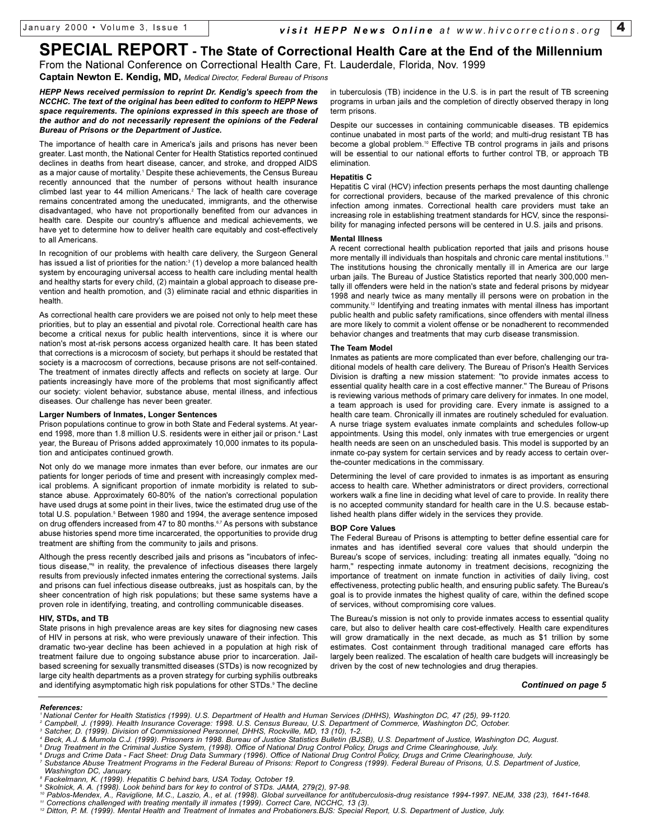# **SPECIAL REPORT - The State of Correctional Health Care at the End of the Millennium**

From the National Conference on Correctional Health Care, Ft. Lauderdale, Florida, Nov. 1999 **Captain Newton E. Kendig, MD,** *Medical Director, Federal Bureau of Prisons*

*HEPP News received permission to reprint Dr. Kendig's speech from the NCCHC. The text of the original has been edited to conform to HEPP News space requirements. The opinions expressed in this speech are those of the author and do not necessarily represent the opinions of the Federal Bureau of Prisons or the Department of Justice.*

The importance of health care in America's jails and prisons has never been greater. Last month, the National Center for Health Statistics reported continued declines in deaths from heart disease, cancer, and stroke, and dropped AIDS as a major cause of mortality.<sup>1</sup> Despite these achievements, the Census Bureau recently announced that the number of persons without health insurance climbed last year to 44 million Americans.<sup>2</sup> The lack of health care coverage remains concentrated among the uneducated, immigrants, and the otherwise disadvantaged, who have not proportionally benefited from our advances in health care. Despite our country's affluence and medical achievements, we have yet to determine how to deliver health care equitably and cost-effectively to all Americans.

In recognition of our problems with health care delivery, the Surgeon General has issued a list of priorities for the nation:<sup>3</sup> (1) develop a more balanced health system by encouraging universal access to health care including mental health and healthy starts for every child, (2) maintain a global approach to disease prevention and health promotion, and (3) eliminate racial and ethnic disparities in health.

As correctional health care providers we are poised not only to help meet these priorities, but to play an essential and pivotal role. Correctional health care has become a critical nexus for public health interventions, since it is where our nation's most at-risk persons access organized health care. It has been stated that corrections is a microcosm of society, but perhaps it should be restated that society is a macrocosm of corrections, because prisons are not self-contained. The treatment of inmates directly affects and reflects on society at large. Our patients increasingly have more of the problems that most significantly affect our society: violent behavior, substance abuse, mental illness, and infectious diseases. Our challenge has never been greater.

#### **Larger Numbers of Inmates, Longer Sentences**

Prison populations continue to grow in both State and Federal systems. At yearend 1998, more than 1.8 million U.S. residents were in either jail or prison.<sup>4</sup> Last year, the Bureau of Prisons added approximately 10,000 inmates to its population and anticipates continued growth.

Not only do we manage more inmates than ever before, our inmates are our patients for longer periods of time and present with increasingly complex medical problems. A significant proportion of inmate morbidity is related to substance abuse. Approximately 60-80% of the nation's correctional population have used drugs at some point in their lives, twice the estimated drug use of the total U.S. population.<sup>5</sup> Between 1980 and 1994, the average sentence imposed on drug offenders increased from 47 to 80 months.<sup>6,7</sup> As persons with substance abuse histories spend more time incarcerated, the opportunities to provide drug treatment are shifting from the community to jails and prisons.

Although the press recently described jails and prisons as "incubators of infectious disease,"8 in reality, the prevalence of infectious diseases there largely results from previously infected inmates entering the correctional systems. Jails and prisons can fuel infectious disease outbreaks, just as hospitals can, by the sheer concentration of high risk populations; but these same systems have a proven role in identifying, treating, and controlling communicable diseases.

#### **HIV, STDs, and TB**

State prisons in high prevalence areas are key sites for diagnosing new cases of HIV in persons at risk, who were previously unaware of their infection. This dramatic two-year decline has been achieved in a population at high risk of treatment failure due to ongoing substance abuse prior to incarceration. Jailbased screening for sexually transmitted diseases (STDs) is now recognized by large city health departments as a proven strategy for curbing syphilis outbreaks and identifying asymptomatic high risk populations for other STDs.<sup>9</sup> The decline

in tuberculosis (TB) incidence in the U.S. is in part the result of TB screening programs in urban jails and the completion of directly observed therapy in long term prisons.

Despite our successes in containing communicable diseases. TB epidemics continue unabated in most parts of the world; and multi-drug resistant TB has become a global problem.<sup>10</sup> Effective TB control programs in jails and prisons will be essential to our national efforts to further control TB, or approach TB elimination.

#### **Hepatitis C**

Hepatitis C viral (HCV) infection presents perhaps the most daunting challenge for correctional providers, because of the marked prevalence of this chronic infection among inmates. Correctional health care providers must take an increasing role in establishing treatment standards for HCV, since the responsibility for managing infected persons will be centered in U.S. jails and prisons.

#### **Mental Illness**

A recent correctional health publication reported that jails and prisons house more mentally ill individuals than hospitals and chronic care mental institutions.<sup>11</sup> The institutions housing the chronically mentally ill in America are our large urban jails. The Bureau of Justice Statistics reported that nearly 300,000 mentally ill offenders were held in the nation's state and federal prisons by midyear 1998 and nearly twice as many mentally ill persons were on probation in the community.12 Identifying and treating inmates with mental illness has important public health and public safety ramifications, since offenders with mental illness are more likely to commit a violent offense or be nonadherent to recommended behavior changes and treatments that may curb disease transmission.

#### **The Team Model**

Inmates as patients are more complicated than ever before, challenging our traditional models of health care delivery. The Bureau of Prison's Health Services Division is drafting a new mission statement: "to provide inmates access to essential quality health care in a cost effective manner." The Bureau of Prisons is reviewing various methods of primary care delivery for inmates. In one model, a team approach is used for providing care. Every inmate is assigned to a health care team. Chronically ill inmates are routinely scheduled for evaluation. A nurse triage system evaluates inmate complaints and schedules follow-up appointments. Using this model, only inmates with true emergencies or urgent health needs are seen on an unscheduled basis. This model is supported by an inmate co-pay system for certain services and by ready access to certain overthe-counter medications in the commissary.

Determining the level of care provided to inmates is as important as ensuring access to health care. Whether administrators or direct providers, correctional workers walk a fine line in deciding what level of care to provide. In reality there is no accepted community standard for health care in the U.S. because established health plans differ widely in the services they provide.

#### **BOP Core Values**

The Federal Bureau of Prisons is attempting to better define essential care for inmates and has identified several core values that should underpin the Bureau's scope of services, including: treating all inmates equally, "doing no harm," respecting inmate autonomy in treatment decisions, recognizing the importance of treatment on inmate function in activities of daily living, cost effectiveness, protecting public health, and ensuring public safety. The Bureau's goal is to provide inmates the highest quality of care, within the defined scope of services, without compromising core values.

The Bureau's mission is not only to provide inmates access to essential quality care, but also to deliver health care cost-effectively. Health care expenditures will grow dramatically in the next decade, as much as \$1 trillion by some estimates. Cost containment through traditional managed care efforts has largely been realized. The escalation of health care budgets will increasingly be driven by the cost of new technologies and drug therapies.

#### *Continued on page 5*

#### *References:*

- 
- 
- *<sup>5</sup> Drug Treatment in the Criminal Justice System, (1998). Office of National Drug Control Policy, Drugs and Crime Clearinghouse, July.*
- *<sup>6</sup> Drugs and Crime Data Fact Sheet: Drug Data Summary (1996). Office of National Drug Control Policy, Drugs and Crime Clearinghouse, July. <sup>7</sup> Substance Abuse Treatment Programs in the Federal Bureau of Prisons: Report to Congress (1999). Federal Bureau of Prisons, U.S. Department of Justice,*
- 
- 
- 
- 
- Washington DC, January.<br>® Fackelmann, K. (1999). Hepatitis C behind bars, USA Today, October 19.<br>® Skolnick, A. A. (1998). Look behind bars for key to control of STDs. JAMA, 279(2), 97-98.<br>® Pablos-Mendex, A., Raviglione,
- *<sup>11</sup> Corrections challenged with treating mentally ill inmates (1999). Correct Care, NCCHC, 13 (3).*
- *<sup>12</sup> Ditton, P. M. (1999). Mental Health and Treatment of Inmates and Probationers.BJS: Special Report, U.S. Department of Justice, July.*

*<sup>1</sup> National Center for Health Statistics (1999). U.S. Department of Health and Human Services (DHHS), Washington DC, 47 (25), 99-1120.*

<sup>&</sup>lt;sup>2</sup> Campbell, J. (1999). Health Insurance Coverage: 1998. U.S. Census Bureau, U.S. Department of Commerce, Washington DC, October.<br><sup>3</sup> Satcher, D. (1999). Division of Commissioned Personnel, DHHS, Rockville, MD, 13 (10),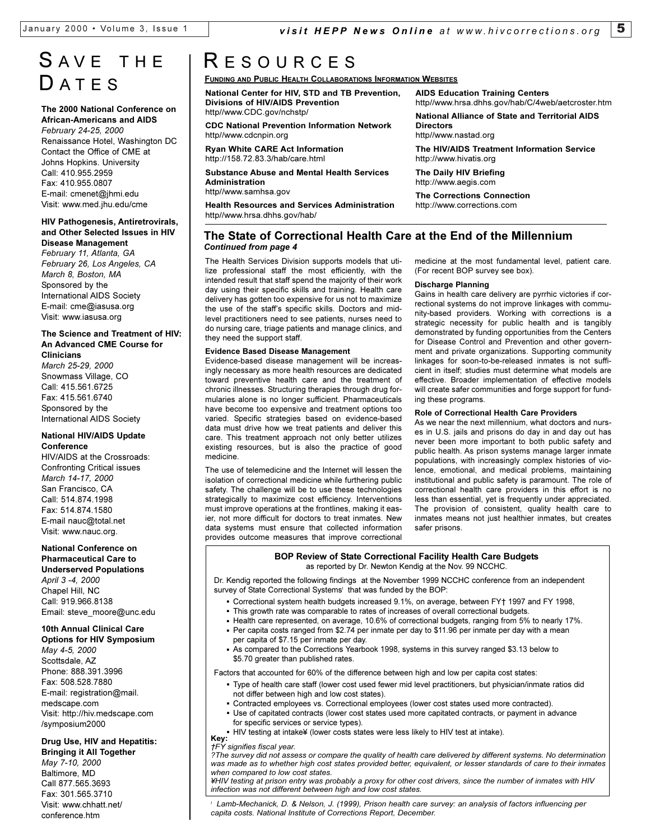**Directors**

http//www.nastad.org

http://www.hivatis.org **The Daily HIV Briefing** http://www.aegis.com

**The Corrections Connection** http://www.corrections.com

**AIDS Education Training Centers**

http//www.hrsa.dhhs.gov/hab/C/4web/aetcroster.htm **National Alliance of State and Territorial AIDS**

**The HIV/AIDS Treatment Information Service**

# S AVE THE **DATES**

#### **The 2000 National Conference on African-Americans and AIDS**

*February 24-25, 2000* Renaissance Hotel, Washington DC Contact the Office of CME at Johns Hopkins. University Call: 410.955.2959 Fax: 410.955.0807 E-mail: cmenet@jhmi.edu Visit: www.med.jhu.edu/cme

#### **HIV Pathogenesis, Antiretrovirals, and Other Selected Issues in HIV Disease Management**

*February 11, Atlanta, GA February 26, Los Angeles, CA March 8, Boston, MA* Sponsored by the International AIDS Society E-mail: cme@iasusa.org Visit: www.iasusa.org

#### **The Science and Treatment of HIV: An Advanced CME Course for Clinicians**

*March 25-29, 2000* Snowmass Village, CO Call: 415.561.6725 Fax: 415.561.6740 Sponsored by the International AIDS Society

#### **National HIV/AIDS Update Conference**

HIV/AIDS at the Crossroads: Confronting Critical issues *March 14-17, 2000* San Francisco, CA Call: 514.874.1998 Fax: 514.874.1580 E-mail nauc@total.net Visit: www.nauc.org.

#### **National Conference on Pharmaceutical Care to**

**Underserved Populations** *April 3 -4, 2000* Chapel Hill, NC Call: 919.966.8138 Email: steve\_moore@unc.edu

## **10th Annual Clinical Care**

**Options for HIV Symposium** *May 4-5, 2000* Scottsdale, AZ Phone: 888.391.3996 Fax: 508.528.7880 E-mail: registration@mail. medscape.com Visit: http://hiv.medscape.com /symposium2000

## **Drug Use, HIV and Hepatitis:**

**Bringing it All Together** *May 7-10, 2000* Baltimore, MD Call 877.565.3693 Fax: 301.565.3710 Visit: www.chhatt.net/ conference.htm

# R ESOURCES

**FUNDING AND PUBLIC HEALTH COLLABORATIONS INFORMATION WEBSITES**

**National Center for HIV, STD and TB Prevention, Divisions of HIV/AIDS Prevention** http//www.CDC.gov/nchstp/

**CDC National Prevention Information Network** http//www.cdcnpin.org

**Ryan White CARE Act Information** http://158.72.83.3/hab/care.html

**Substance Abuse and Mental Health Services Administration**

http//www.samhsa.gov

**Health Resources and Services Administration** http//www.hrsa.dhhs.gov/hab/

## *Continued from page 4* **The State of Correctional Health Care at the End of the Millennium**

The Health Services Division supports models that utilize professional staff the most efficiently, with the intended result that staff spend the majority of their work day using their specific skills and training. Health care delivery has gotten too expensive for us not to maximize the use of the staff's specific skills. Doctors and midlevel practitioners need to see patients, nurses need to do nursing care, triage patients and manage clinics, and they need the support staff.

## **Evidence Based Disease Management**

Evidence-based disease management will be increasingly necessary as more health resources are dedicated toward preventive health care and the treatment of chronic illnesses. Structuring therapies through drug formularies alone is no longer sufficient. Pharmaceuticals have become too expensive and treatment options too varied. Specific strategies based on evidence-based data must drive how we treat patients and deliver this care. This treatment approach not only better utilizes existing resources, but is also the practice of good medicine.

The use of telemedicine and the Internet will lessen the isolation of correctional medicine while furthering public safety. The challenge will be to use these technologies strategically to maximize cost efficiency. Interventions must improve operations at the frontlines, making it easier, not more difficult for doctors to treat inmates. New data systems must ensure that collected information provides outcome measures that improve correctional

medicine at the most fundamental level, patient care. (For recent BOP survey see box).

#### **Discharge Planning**

Gains in health care delivery are pyrrhic victories if correctional systems do not improve linkages with community-based providers. Working with corrections is a strategic necessity for public health and is tangibly demonstrated by funding opportunities from the Centers for Disease Control and Prevention and other government and private organizations. Supporting community linkages for soon-to-be-released inmates is not sufficient in itself; studies must determine what models are effective. Broader implementation of effective models will create safer communities and forge support for funding these programs.

#### **Role of Correctional Health Care Providers**

As we near the next millennium, what doctors and nurses in U.S. jails and prisons do day in and day out has never been more important to both public safety and public health. As prison systems manage larger inmate populations, with increasingly complex histories of violence, emotional, and medical problems, maintaining institutional and public safety is paramount. The role of correctional health care providers in this effort is no less than essential, yet is frequently under appreciated. The provision of consistent, quality health care to inmates means not just healthier inmates, but creates safer prisons.

#### **BOP Review of State Correctional Facility Health Care Budgets** as reported by Dr. Newton Kendig at the Nov. 99 NCCHC.

Dr. Kendig reported the following findings at the November 1999 NCCHC conference from an independent survey of State Correctional Systems' that was funded by the BOP:

- **.** Correctional system health budgets increased 9.1%, on average, between FY† 1997 and FY 1998,
- Correctional system nealth budgets increased 9.1%, on average, between F1T 1997 a<br>• This growth rate was comparable to rates of increases of overall correctional budgets.
- This growth rate was comparable to rates or increases or overall correctional budgets.<br>• Health care represented, on average, 10.6% of correctional budgets, ranging from 5% to nearly 17%.
- Health care represented, on average, 10.6% or correctional budgets, ranging from 5% to hearly 1*i*<br>• Per capita costs ranged from \$2.74 per inmate per day to \$11.96 per inmate per day with a mean per capita of \$7.15 per inmate per day.
- As compared to the Corrections Yearbook 1998, systems in this survey ranged \$3.13 below to \$5.70 greater than published rates. **.**

Factors that accounted for 60% of the difference between high and low per capita cost states:

- Type of health care staff (lower cost used fewer mid level practitioners, but physician/inmate ratios did **.** not differ between high and low cost states).
- not ai<del>n</del>er between nign and low cost states).<br>• Contracted employees vs. Correctional employees (lower cost states used more contracted).
- Contracted empioyees vs. Correctional empioyees (lower cost states used more contracted).<br>• Use of capitated contracts (lower cost states used more capitated contracts, or payment in advance for specific services or service types).
- HIV testing at intake¥ (lower costs states were less likely to HIV test at intake).

#### **. Key:** *FY signifies fiscal year.*

*?The survey did not assess or compare the quality of health care delivered by different systems. No determination was made as to whether high cost states provided better, equivalent, or lesser standards of care to their inmates when compared to low cost states.* 

*¥HIV testing at prison entry was probably a proxy for other cost drivers, since the number of inmates with HIV infection was not different between high and low cost states.* 

*<sup>I</sup> Lamb-Mechanick, D. & Nelson, J. (1999), Prison health care survey: an analysis of factors influencing per capita costs. National Institute of Corrections Report, December.*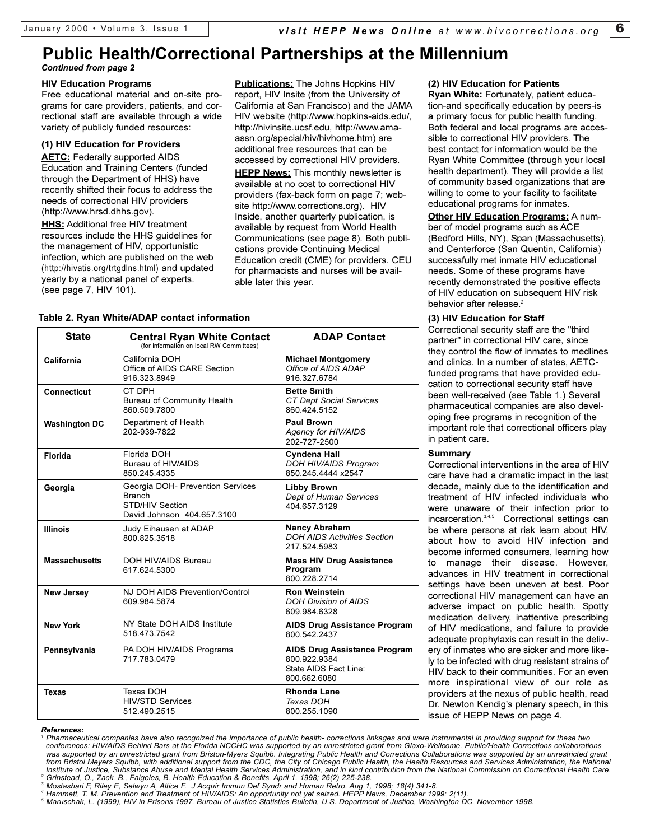## *Continued from page 2* **Public Health/Correctional Partnerships at the Millennium**

#### **HIV Education Programs**

Free educational material and on-site programs for care providers, patients, and correctional staff are available through a wide variety of publicly funded resources:

#### **(1) HIV Education for Providers**

**AETC:** Federally supported AIDS Education and Training Centers (funded through the Department of HHS) have recently shifted their focus to address the needs of correctional HIV providers (http://www.hrsd.dhhs.gov).

**HHS:** Additional free HIV treatment resources include the HHS guidelines for the management of HIV, opportunistic infection, which are published on the web (http://hivatis.org/trtgdlns.html) and updated yearly by a national panel of experts. (see page 7, HIV 101).

**Publications:** The Johns Hopkins HIV report, HIV Insite (from the University of California at San Francisco) and the JAMA HIV website (http://www.hopkins-aids.edu/, http://hivinsite.ucsf.edu, http://www.amaassn.org/special/hiv/hivhome.htm) are additional free resources that can be accessed by correctional HIV providers. **HEPP News:** This monthly newsletter is available at no cost to correctional HIV providers (fax-back form on page 7; website http://www.corrections.org). HIV Inside, another quarterly publication, is

available by request from World Health Communications (see page 8). Both publications provide Continuing Medical Education credit (CME) for providers. CEU for pharmacists and nurses will be available later this year.

## **Table 2. Ryan White/ADAP contact information**

| <b>State</b>         | <b>Central Ryan White Contact</b><br>(for information on local RW Committees)                             | <b>ADAP Contact</b>                                                                          |
|----------------------|-----------------------------------------------------------------------------------------------------------|----------------------------------------------------------------------------------------------|
| California           | California DOH<br>Office of AIDS CARE Section<br>916.323.8949                                             | <b>Michael Montgomery</b><br>Office of AIDS ADAP<br>916 327 6784                             |
| <b>Connecticut</b>   | CT DPH<br>Bureau of Community Health<br>860.509.7800                                                      | <b>Bette Smith</b><br><b>CT Dept Social Services</b><br>860.424.5152                         |
| <b>Washington DC</b> | Department of Health<br>202-939-7822                                                                      | <b>Paul Brown</b><br>Agency for HIV/AIDS<br>202-727-2500                                     |
| <b>Florida</b>       | Florida DOH<br>Bureau of HIV/AIDS<br>850.245.4335                                                         | Cyndena Hall<br>DOH HIV/AIDS Program<br>850.245.4444 x2547                                   |
| Georgia              | Georgia DOH- Prevention Services<br><b>Branch</b><br><b>STD/HIV Section</b><br>David Johnson 404.657.3100 | <b>Libby Brown</b><br>Dept of Human Services<br>404.657.3129                                 |
| <b>Illinois</b>      | Judy Eihausen at ADAP<br>800.825.3518                                                                     | <b>Nancy Abraham</b><br><b>DOH AIDS Activities Section</b><br>217.524.5983                   |
| <b>Massachusetts</b> | DOH HIV/AIDS Bureau<br>617.624.5300                                                                       | <b>Mass HIV Drug Assistance</b><br>Program<br>800.228.2714                                   |
| <b>New Jersey</b>    | NJ DOH AIDS Prevention/Control<br>609.984.5874                                                            | <b>Ron Weinstein</b><br><b>DOH Division of AIDS</b><br>609.984.6328                          |
| <b>New York</b>      | NY State DOH AIDS Institute<br>518.473.7542                                                               | <b>AIDS Drug Assistance Program</b><br>800.542.2437                                          |
| Pennsylvania         | PA DOH HIV/AIDS Programs<br>717.783.0479                                                                  | <b>AIDS Drug Assistance Program</b><br>800.922.9384<br>State AIDS Fact Line:<br>800.662.6080 |
| <b>Texas</b>         | Texas DOH<br><b>HIV/STD Services</b><br>512.490.2515                                                      | <b>Rhonda Lane</b><br>Texas DOH<br>800.255.1090                                              |

#### *References:*

*1 Pharmaceutical companies have also recognized the importance of public health- corrections linkages and were instrumental in providing support for these two*  conferences: HIV/AIDS Behind Bars at the Florida NCCHC was supported by an unrestricted grant from Glaxo-Wellcome. Public/Health Corrections collaborations<br>was supported by an unrestricted grant from Briston-Myers Squibb. from Bristol Meyers Squibb, with additional support from the CDC, the City of Chicago Public Health, the Health Resources and Services Administration, the National Institute of Justice, Substance Abuse and Mental Health Services Administration, and in kind contribution from the National Commission on Correctional Health Care.<br><sup>2</sup> Grinstead, O., Zack, B., Faigeles, B. Health Education

<sup>3</sup> Mostashari F, Riley E, Selwyn A, Altice F. J Acquir Immun Def Syndr and Human Retro. Aug 1, 1998; 18(4) 341-8.<br><sup>4</sup> Hammett, T. M. Prevention and Treatment of HIV/AIDS: An opportunity not yet seized. HEPP News, Decembe

## **(2) HIV Education for Patients**

**Ryan White:** Fortunately, patient education-and specifically education by peers-is a primary focus for public health funding. Both federal and local programs are accessible to correctional HIV providers. The best contact for information would be the Ryan White Committee (through your local health department). They will provide a list of community based organizations that are willing to come to your facility to facilitate educational programs for inmates.

**Other HIV Education Programs:** A number of model programs such as ACE (Bedford Hills, NY), Span (Massachusetts), and Centerforce (San Quentin, California) successfully met inmate HIV educational needs. Some of these programs have recently demonstrated the positive effects of HIV education on subsequent HIV risk behavior after release.<sup>2</sup>

## **(3) HIV Education for Staff**

Correctional security staff are the "third partner" in correctional HIV care, since they control the flow of inmates to medlines and clinics. In a number of states, AETCfunded programs that have provided education to correctional security staff have been well-received (see Table 1.) Several pharmaceutical companies are also developing free programs in recognition of the important role that correctional officers play in patient care.

## **Summary**

Correctional interventions in the area of HIV care have had a dramatic impact in the last decade, mainly due to the identification and treatment of HIV infected individuals who were unaware of their infection prior to incarceration.<sup>3,4,5</sup> Correctional settings can be where persons at risk learn about HIV, about how to avoid HIV infection and become informed consumers, learning how to manage their disease. However, advances in HIV treatment in correctional settings have been uneven at best. Poor correctional HIV management can have an adverse impact on public health. Spotty medication delivery, inattentive prescribing of HIV medications, and failure to provide adequate prophylaxis can result in the delivery of inmates who are sicker and more likely to be infected with drug resistant strains of HIV back to their communities. For an even more inspirational view of our role as providers at the nexus of public health, read Dr. Newton Kendig's plenary speech, in this issue of HEPP News on page 4.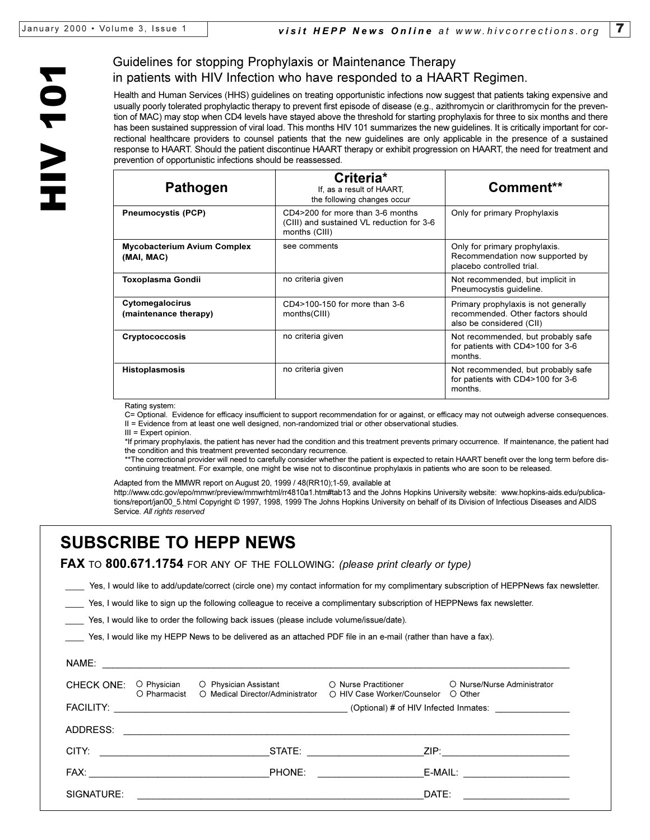## Guidelines for stopping Prophylaxis or Maintenance Therapy in patients with HIV Infection who have responded to a HAART Regimen.

Health and Human Services (HHS) guidelines on treating opportunistic infections now suggest that patients taking expensive and usually poorly tolerated prophylactic therapy to prevent first episode of disease (e.g., azithromycin or clarithromycin for the prevention of MAC) may stop when CD4 levels have stayed above the threshold for starting prophylaxis for three to six months and there has been sustained suppression of viral load. This months HIV 101 summarizes the new guidelines. It is critically important for correctional healthcare providers to counsel patients that the new guidelines are only applicable in the presence of a sustained response to HAART. Should the patient discontinue HAART therapy or exhibit progression on HAART, the need for treatment and prevention of opportunistic infections should be reassessed.

| Criteria*<br>If, as a result of HAART.<br>the following changes occur                          | Comment**                                                                                             |
|------------------------------------------------------------------------------------------------|-------------------------------------------------------------------------------------------------------|
| CD4>200 for more than 3-6 months<br>(CIII) and sustained VL reduction for 3-6<br>months (CIII) | Only for primary Prophylaxis                                                                          |
| see comments                                                                                   | Only for primary prophylaxis.<br>Recommendation now supported by<br>placebo controlled trial.         |
| no criteria given                                                                              | Not recommended, but implicit in<br>Pneumocystis quideline.                                           |
| CD4>100-150 for more than 3-6<br>months(CIII)                                                  | Primary prophylaxis is not generally<br>recommended. Other factors should<br>also be considered (CII) |
| no criteria given                                                                              | Not recommended, but probably safe<br>for patients with CD4>100 for 3-6<br>months                     |
| no criteria given                                                                              | Not recommended, but probably safe<br>for patients with CD4>100 for 3-6<br>months.                    |
|                                                                                                |                                                                                                       |

Rating system:

C= Optional. Evidence for efficacy insufficient to support recommendation for or against, or efficacy may not outweigh adverse consequences. II = Evidence from at least one well designed, non-randomized trial or other observational studies.

III = Expert opinion.

\*If primary prophylaxis, the patient has never had the condition and this treatment prevents primary occurrence. If maintenance, the patient had the condition and this treatment prevented secondary recurrence.

\*\*The correctional provider will need to carefully consider whether the patient is expected to retain HAART benefit over the long term before discontinuing treatment. For example, one might be wise not to discontinue prophylaxis in patients who are soon to be released.

Adapted from the MMWR report on August 20, 1999 / 48(RR10);1-59, available at

http://www.cdc.gov/epo/mmwr/preview/mmwrhtml/rr4810a1.htm#tab13 and the Johns Hopkins University website: www.hopkins-aids.edu/publications/report/jan00\_5.html Copyright © 1997, 1998, 1999 The Johns Hopkins University on behalf of its Division of Infectious Diseases and AIDS Service. *All rights reserved*

# **SUBSCRIBE TO HEPP NEWS**

**FAX** TO **800.671.1754** FOR ANY OF THE FOLLOWING: *(please print clearly or type)*

Yes, I would like to add/update/correct (circle one) my contact information for my complimentary subscription of HEPPNews fax newsletter.

Yes, I would like to sign up the following colleague to receive a complimentary subscription of HEPPNews fax newsletter.

Yes, I would like to order the following back issues (please include volume/issue/date).

Yes, I would like my HEPP News to be delivered as an attached PDF file in an e-mail (rather than have a fax).

| NAME:             |                                     |                                                                                                                  |                                                              |                                                                                   |
|-------------------|-------------------------------------|------------------------------------------------------------------------------------------------------------------|--------------------------------------------------------------|-----------------------------------------------------------------------------------|
| <b>CHECK ONE:</b> | $\circ$ Physician<br>$O$ Pharmacist | ○ Physician Assistant<br>O Medical Director/Administrator                                                        | $\bigcirc$ Nurse Practitioner<br>○ HIV Case Worker/Counselor | O Nurse/Nurse Administrator<br>O Other                                            |
|                   |                                     |                                                                                                                  |                                                              |                                                                                   |
| ADDRESS:          |                                     | and the control of the control of the control of the control of the control of the control of the control of the |                                                              |                                                                                   |
| CITY:             |                                     | STATE:                                                                                                           |                                                              | ZIP: 2008.000 2009.000 2009.000 2009.000 2009.000 2009.000 2009.000 2009.000 2009 |
| FAX:              |                                     | <b>PHONE:</b>                                                                                                    |                                                              | E-MAIL: ____________________                                                      |
| SIGNATURE:        |                                     |                                                                                                                  | DATE:                                                        |                                                                                   |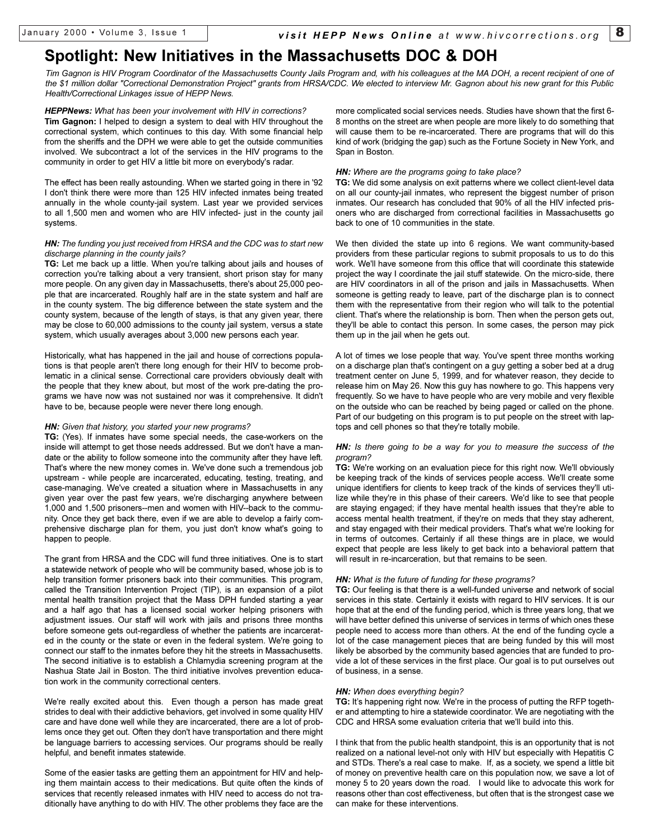## **Spotlight: New Initiatives in the Massachusetts DOC & DOH**

*Tim Gagnon is HIV Program Coordinator of the Massachusetts County Jails Program and, with his colleagues at the MA DOH, a recent recipient of one of the \$1 million dollar "Correctional Demonstration Project" grants from HRSA/CDC. We elected to interview Mr. Gagnon about his new grant for this Public Health/Correctional Linkages issue of HEPP News.*

*HEPPNews: What has been your involvement with HIV in corrections?* **Tim Gagnon:** I helped to design a system to deal with HIV throughout the correctional system, which continues to this day. With some financial help from the sheriffs and the DPH we were able to get the outside communities involved. We subcontract a lot of the services in the HIV programs to the community in order to get HIV a little bit more on everybody's radar.

The effect has been really astounding. When we started going in there in '92 I don't think there were more than 125 HIV infected inmates being treated annually in the whole county-jail system. Last year we provided services to all 1,500 men and women who are HIV infected- just in the county jail systems.

#### *HN: The funding you just received from HRSA and the CDC was to start new discharge planning in the county jails?*

**TG:** Let me back up a little. When you're talking about jails and houses of correction you're talking about a very transient, short prison stay for many more people. On any given day in Massachusetts, there's about 25,000 people that are incarcerated. Roughly half are in the state system and half are in the county system. The big difference between the state system and the county system, because of the length of stays, is that any given year, there may be close to 60,000 admissions to the county jail system, versus a state system, which usually averages about 3,000 new persons each year.

Historically, what has happened in the jail and house of corrections populations is that people aren't there long enough for their HIV to become problematic in a clinical sense. Correctional care providers obviously dealt with the people that they knew about, but most of the work pre-dating the programs we have now was not sustained nor was it comprehensive. It didn't have to be, because people were never there long enough.

#### *HN: Given that history, you started your new programs?*

**TG:** (Yes). If inmates have some special needs, the case-workers on the inside will attempt to get those needs addressed. But we don't have a mandate or the ability to follow someone into the community after they have left. That's where the new money comes in. We've done such a tremendous job upstream - while people are incarcerated, educating, testing, treating, and case-managing. We've created a situation where in Massachusetts in any given year over the past few years, we're discharging anywhere between 1,000 and 1,500 prisoners--men and women with HIV--back to the community. Once they get back there, even if we are able to develop a fairly comprehensive discharge plan for them, you just don't know what's going to happen to people.

The grant from HRSA and the CDC will fund three initiatives. One is to start a statewide network of people who will be community based, whose job is to help transition former prisoners back into their communities. This program, called the Transition Intervention Project (TIP), is an expansion of a pilot mental health transition project that the Mass DPH funded starting a year and a half ago that has a licensed social worker helping prisoners with adjustment issues. Our staff will work with jails and prisons three months before someone gets out-regardless of whether the patients are incarcerated in the county or the state or even in the federal system. We're going to connect our staff to the inmates before they hit the streets in Massachusetts. The second initiative is to establish a Chlamydia screening program at the Nashua State Jail in Boston. The third initiative involves prevention education work in the community correctional centers.

We're really excited about this. Even though a person has made great strides to deal with their addictive behaviors, get involved in some quality HIV care and have done well while they are incarcerated, there are a lot of problems once they get out. Often they don't have transportation and there might be language barriers to accessing services. Our programs should be really helpful, and benefit inmates statewide.

Some of the easier tasks are getting them an appointment for HIV and helping them maintain access to their medications. But quite often the kinds of services that recently released inmates with HIV need to access do not traditionally have anything to do with HIV. The other problems they face are the

more complicated social services needs. Studies have shown that the first 6- 8 months on the street are when people are more likely to do something that will cause them to be re-incarcerated. There are programs that will do this kind of work (bridging the gap) such as the Fortune Society in New York, and Span in Boston.

#### *HN: Where are the programs going to take place?*

**TG:** We did some analysis on exit patterns where we collect client-level data on all our county-jail inmates, who represent the biggest number of prison inmates. Our research has concluded that 90% of all the HIV infected prisoners who are discharged from correctional facilities in Massachusetts go back to one of 10 communities in the state.

We then divided the state up into 6 regions. We want community-based providers from these particular regions to submit proposals to us to do this work. We'll have someone from this office that will coordinate this statewide project the way I coordinate the jail stuff statewide. On the micro-side, there are HIV coordinators in all of the prison and jails in Massachusetts. When someone is getting ready to leave, part of the discharge plan is to connect them with the representative from their region who will talk to the potential client. That's where the relationship is born. Then when the person gets out, they'll be able to contact this person. In some cases, the person may pick them up in the jail when he gets out.

A lot of times we lose people that way. You've spent three months working on a discharge plan that's contingent on a guy getting a sober bed at a drug treatment center on June 5, 1999, and for whatever reason, they decide to release him on May 26. Now this guy has nowhere to go. This happens very frequently. So we have to have people who are very mobile and very flexible on the outside who can be reached by being paged or called on the phone. Part of our budgeting on this program is to put people on the street with laptops and cell phones so that they're totally mobile.

#### *HN: Is there going to be a way for you to measure the success of the program?*

**TG:** We're working on an evaluation piece for this right now. We'll obviously be keeping track of the kinds of services people access. We'll create some unique identifiers for clients to keep track of the kinds of services they'll utilize while they're in this phase of their careers. We'd like to see that people are staying engaged; if they have mental health issues that they're able to access mental health treatment, if they're on meds that they stay adherent, and stay engaged with their medical providers. That's what we're looking for in terms of outcomes. Certainly if all these things are in place, we would expect that people are less likely to get back into a behavioral pattern that will result in re-incarceration, but that remains to be seen.

#### *HN: What is the future of funding for these programs?*

**TG:** Our feeling is that there is a well-funded universe and network of social services in this state. Certainly it exists with regard to HIV services. It is our hope that at the end of the funding period, which is three years long, that we will have better defined this universe of services in terms of which ones these people need to access more than others. At the end of the funding cycle a lot of the case management pieces that are being funded by this will most likely be absorbed by the community based agencies that are funded to provide a lot of these services in the first place. Our goal is to put ourselves out of business, in a sense.

#### *HN: When does everything begin?*

**TG:** It's happening right now. We're in the process of putting the RFP together and attempting to hire a statewide coordinator. We are negotiating with the CDC and HRSA some evaluation criteria that we'll build into this.

I think that from the public health standpoint, this is an opportunity that is not realized on a national level-not only with HIV but especially with Hepatitis C and STDs. There's a real case to make. If, as a society, we spend a little bit of money on preventive health care on this population now, we save a lot of money 5 to 20 years down the road. I would like to advocate this work for reasons other than cost effectiveness, but often that is the strongest case we can make for these interventions.